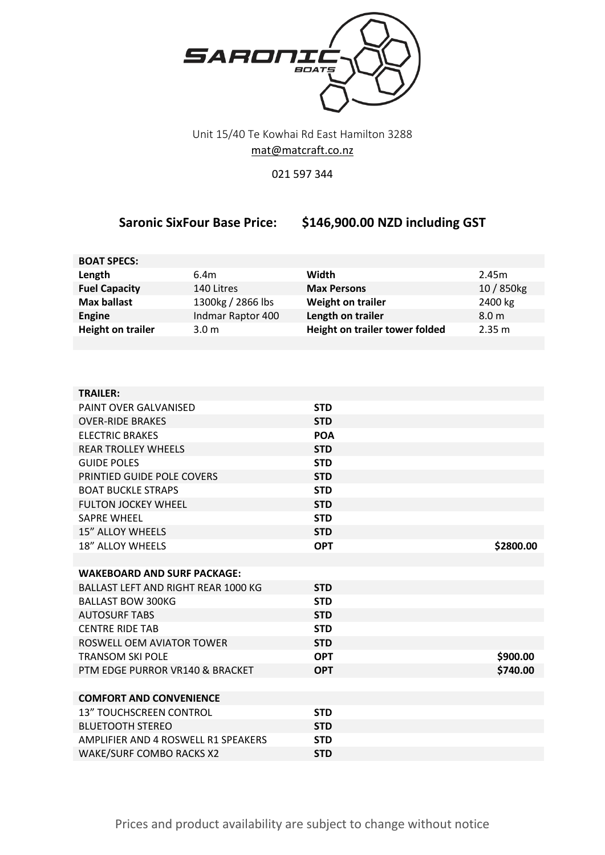

## Unit 15/40 Te Kowhai Rd East Hamilton 3288 [mat@matcraft.co.nz](mailto:mat@matcraft.co.nz)

## 021 597 344

## **Saronic SixFour Base Price: \$146,900.00 NZD including GST**

| <b>BOAT SPECS:</b>       |                   |                                |                  |
|--------------------------|-------------------|--------------------------------|------------------|
| Length                   | 6.4m              | Width                          | 2.45m            |
| <b>Fuel Capacity</b>     | 140 Litres        | <b>Max Persons</b>             | 10 / 850kg       |
| <b>Max ballast</b>       | 1300kg / 2866 lbs | <b>Weight on trailer</b>       | 2400 kg          |
| <b>Engine</b>            | Indmar Raptor 400 | Length on trailer              | 8.0 <sub>m</sub> |
| <b>Height on trailer</b> | 3.0 <sub>m</sub>  | Height on trailer tower folded | 2.35 m           |
|                          |                   |                                |                  |

| <b>TRAILER:</b>                            |            |           |
|--------------------------------------------|------------|-----------|
| PAINT OVER GALVANISED                      | <b>STD</b> |           |
| <b>OVER-RIDE BRAKES</b>                    | <b>STD</b> |           |
| <b>ELECTRIC BRAKES</b>                     | <b>POA</b> |           |
| <b>REAR TROLLEY WHEELS</b>                 | <b>STD</b> |           |
| <b>GUIDE POLES</b>                         | <b>STD</b> |           |
| PRINTIED GUIDE POLE COVERS                 | <b>STD</b> |           |
| <b>BOAT BUCKLE STRAPS</b>                  | <b>STD</b> |           |
| <b>FULTON JOCKEY WHEEL</b>                 | <b>STD</b> |           |
| <b>SAPRE WHEEL</b>                         | <b>STD</b> |           |
| <b>15" ALLOY WHEELS</b>                    | <b>STD</b> |           |
| 18" ALLOY WHEELS                           | <b>OPT</b> | \$2800.00 |
|                                            |            |           |
| <b>WAKEBOARD AND SURF PACKAGE:</b>         |            |           |
| <b>BALLAST LEFT AND RIGHT REAR 1000 KG</b> | <b>STD</b> |           |
| <b>BALLAST BOW 300KG</b>                   | <b>STD</b> |           |
| <b>AUTOSURF TABS</b>                       | <b>STD</b> |           |
| <b>CENTRE RIDE TAB</b>                     | <b>STD</b> |           |
| ROSWELL OFM AVIATOR TOWER                  | <b>STD</b> |           |
| <b>TRANSOM SKI POLE</b>                    | <b>OPT</b> | \$900.00  |
| PTM EDGE PURROR VR140 & BRACKET            | <b>OPT</b> | \$740.00  |
|                                            |            |           |
| <b>COMFORT AND CONVENIENCE</b>             |            |           |
| <b>13" TOUCHSCREEN CONTROL</b>             | <b>STD</b> |           |
| <b>BLUETOOTH STEREO</b>                    | <b>STD</b> |           |
| AMPLIFIER AND 4 ROSWELL R1 SPEAKERS        | <b>STD</b> |           |
| <b>WAKE/SURF COMBO RACKS X2</b>            | <b>STD</b> |           |